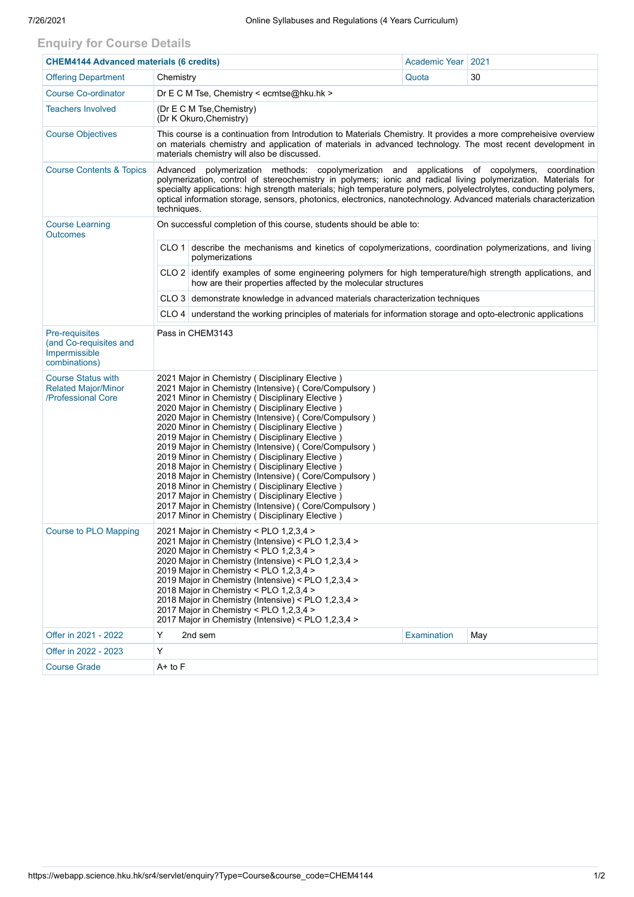## **Enquiry for Course Details**

| <b>CHEM4144 Advanced materials (6 credits)</b>                                |                                                                                                                                                                                                                                                                                                                                                                                                                                                                                                                                                                                                                                                                                                                                                                                                                                 | <b>Academic Year</b> | 2021 |  |  |  |  |  |
|-------------------------------------------------------------------------------|---------------------------------------------------------------------------------------------------------------------------------------------------------------------------------------------------------------------------------------------------------------------------------------------------------------------------------------------------------------------------------------------------------------------------------------------------------------------------------------------------------------------------------------------------------------------------------------------------------------------------------------------------------------------------------------------------------------------------------------------------------------------------------------------------------------------------------|----------------------|------|--|--|--|--|--|
| <b>Offering Department</b>                                                    | Chemistry                                                                                                                                                                                                                                                                                                                                                                                                                                                                                                                                                                                                                                                                                                                                                                                                                       | Quota                | 30   |  |  |  |  |  |
| <b>Course Co-ordinator</b>                                                    | Dr E C M Tse, Chemistry < ecmtse@hku.hk >                                                                                                                                                                                                                                                                                                                                                                                                                                                                                                                                                                                                                                                                                                                                                                                       |                      |      |  |  |  |  |  |
| <b>Teachers Involved</b>                                                      | (Dr E C M Tse, Chemistry)<br>(Dr K Okuro, Chemistry)                                                                                                                                                                                                                                                                                                                                                                                                                                                                                                                                                                                                                                                                                                                                                                            |                      |      |  |  |  |  |  |
| <b>Course Objectives</b>                                                      | This course is a continuation from Introdution to Materials Chemistry. It provides a more compreheisive overview<br>on materials chemistry and application of materials in advanced technology. The most recent development in<br>materials chemistry will also be discussed.                                                                                                                                                                                                                                                                                                                                                                                                                                                                                                                                                   |                      |      |  |  |  |  |  |
| <b>Course Contents &amp; Topics</b>                                           | polymerization methods: copolymerization and applications of copolymers,<br>Advanced<br>coordination<br>polymerization, control of stereochemistry in polymers; ionic and radical living polymerization. Materials for<br>specialty applications: high strength materials; high temperature polymers, polyelectrolytes, conducting polymers,<br>optical information storage, sensors, photonics, electronics, nanotechnology. Advanced materials characterization<br>techniques.                                                                                                                                                                                                                                                                                                                                                |                      |      |  |  |  |  |  |
| <b>Course Learning</b><br><b>Outcomes</b>                                     | On successful completion of this course, students should be able to:                                                                                                                                                                                                                                                                                                                                                                                                                                                                                                                                                                                                                                                                                                                                                            |                      |      |  |  |  |  |  |
|                                                                               | CLO 1 describe the mechanisms and kinetics of copolymerizations, coordination polymerizations, and living<br>polymerizations                                                                                                                                                                                                                                                                                                                                                                                                                                                                                                                                                                                                                                                                                                    |                      |      |  |  |  |  |  |
|                                                                               | CLO 2 identify examples of some engineering polymers for high temperature/high strength applications, and<br>how are their properties affected by the molecular structures                                                                                                                                                                                                                                                                                                                                                                                                                                                                                                                                                                                                                                                      |                      |      |  |  |  |  |  |
|                                                                               | CLO 3 demonstrate knowledge in advanced materials characterization techniques                                                                                                                                                                                                                                                                                                                                                                                                                                                                                                                                                                                                                                                                                                                                                   |                      |      |  |  |  |  |  |
|                                                                               | $CLO$ 4 understand the working principles of materials for information storage and opto-electronic applications                                                                                                                                                                                                                                                                                                                                                                                                                                                                                                                                                                                                                                                                                                                 |                      |      |  |  |  |  |  |
| Pre-requisites<br>(and Co-requisites and<br>Impermissible<br>combinations)    | Pass in CHEM3143                                                                                                                                                                                                                                                                                                                                                                                                                                                                                                                                                                                                                                                                                                                                                                                                                |                      |      |  |  |  |  |  |
| <b>Course Status with</b><br><b>Related Major/Minor</b><br>/Professional Core | 2021 Major in Chemistry (Disciplinary Elective)<br>2021 Major in Chemistry (Intensive) ( Core/Compulsory )<br>2021 Minor in Chemistry (Disciplinary Elective)<br>2020 Major in Chemistry ( Disciplinary Elective )<br>2020 Major in Chemistry (Intensive) (Core/Compulsory)<br>2020 Minor in Chemistry (Disciplinary Elective)<br>2019 Major in Chemistry (Disciplinary Elective)<br>2019 Major in Chemistry (Intensive) (Core/Compulsory)<br>2019 Minor in Chemistry (Disciplinary Elective)<br>2018 Major in Chemistry (Disciplinary Elective)<br>2018 Major in Chemistry (Intensive) (Core/Compulsory)<br>2018 Minor in Chemistry (Disciplinary Elective)<br>2017 Major in Chemistry ( Disciplinary Elective )<br>2017 Major in Chemistry (Intensive) ( Core/Compulsory )<br>2017 Minor in Chemistry (Disciplinary Elective) |                      |      |  |  |  |  |  |
| <b>Course to PLO Mapping</b>                                                  | 2021 Major in Chemistry < PLO 1,2,3,4 ><br>2021 Major in Chemistry (Intensive) < PLO 1,2,3,4 ><br>2020 Major in Chemistry < PLO 1,2,3,4 ><br>2020 Major in Chemistry (Intensive) < PLO 1,2,3,4 ><br>2019 Major in Chemistry < PLO 1,2,3,4 ><br>2019 Major in Chemistry (Intensive) < PLO 1,2,3,4 ><br>2018 Major in Chemistry < PLO 1,2,3,4 ><br>2018 Major in Chemistry (Intensive) < PLO 1,2,3,4 ><br>2017 Major in Chemistry < PLO 1,2,3,4 ><br>2017 Major in Chemistry (Intensive) < PLO 1,2,3,4 >                                                                                                                                                                                                                                                                                                                          |                      |      |  |  |  |  |  |
| Offer in 2021 - 2022                                                          | Y<br>2nd sem                                                                                                                                                                                                                                                                                                                                                                                                                                                                                                                                                                                                                                                                                                                                                                                                                    | <b>Examination</b>   | May  |  |  |  |  |  |
| Offer in 2022 - 2023                                                          | Υ                                                                                                                                                                                                                                                                                                                                                                                                                                                                                                                                                                                                                                                                                                                                                                                                                               |                      |      |  |  |  |  |  |
| <b>Course Grade</b>                                                           | $A+$ to $F$                                                                                                                                                                                                                                                                                                                                                                                                                                                                                                                                                                                                                                                                                                                                                                                                                     |                      |      |  |  |  |  |  |